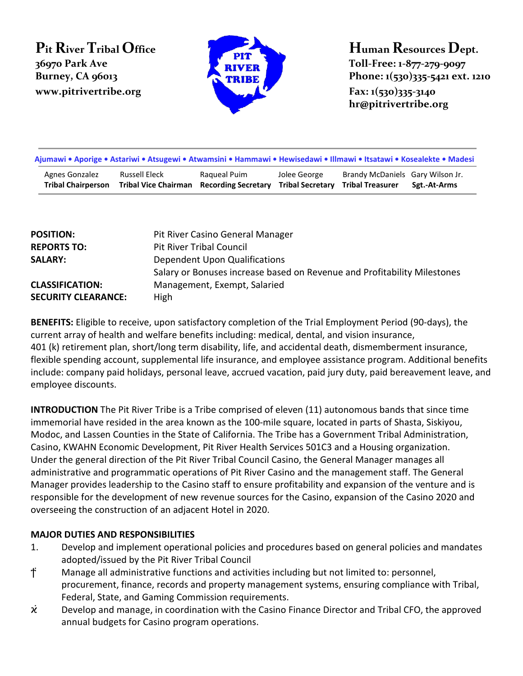# **Pit River Tribal Office 36970 Park Ave www.pitrivertribe.org Fax: 1(530)335-3140**



**Human Resources Dept. Toll-Free: 1-877-279-9097 Burney, CA 96013 Phone: 1(530)335-5421 ext. 1210 hr@pitrivertribe.org**

| Ajumawi • Aporige • Astariwi • Atsugewi • Atwamsini • Hammawi • Hewisedawi • Illmawi • Itsatawi • Kosealekte • Madesi |                                                                  |              |              |                                                                              |              |  |
|-----------------------------------------------------------------------------------------------------------------------|------------------------------------------------------------------|--------------|--------------|------------------------------------------------------------------------------|--------------|--|
| Agnes Gonzalez<br><b>Tribal Chairperson</b>                                                                           | Russell Eleck<br><b>Tribal Vice Chairman</b> Recording Secretary | Ragueal Puim | Jolee George | Brandy McDaniels Gary Wilson Jr.<br><b>Tribal Secretary Tribal Treasurer</b> | Sgt.-At-Arms |  |

| <b>POSITION:</b>           | Pit River Casino General Manager                                         |
|----------------------------|--------------------------------------------------------------------------|
| <b>REPORTS TO:</b>         | <b>Pit River Tribal Council</b>                                          |
| <b>SALARY:</b>             | Dependent Upon Qualifications                                            |
|                            | Salary or Bonuses increase based on Revenue and Profitability Milestones |
| <b>CLASSIFICATION:</b>     | Management, Exempt, Salaried                                             |
| <b>SECURITY CLEARANCE:</b> | High                                                                     |

**BENEFITS:** Eligible to receive, upon satisfactory completion of the Trial Employment Period (90-days), the current array of health and welfare benefits including: medical, dental, and vision insurance, 401 (k) retirement plan, short/long term disability, life, and accidental death, dismemberment insurance, flexible spending account, supplemental life insurance, and employee assistance program. Additional benefits include: company paid holidays, personal leave, accrued vacation, paid jury duty, paid bereavement leave, and employee discounts.

**INTRODUCTION** The Pit River Tribe is a Tribe comprised of eleven (11) autonomous bands that since time immemorial have resided in the area known as the 100-mile square, located in parts of Shasta, Siskiyou, Modoc, and Lassen Counties in the State of California. The Tribe has a Government Tribal Administration, Casino, KWAHN Economic Development, Pit River Health Services 501C3 and a Housing organization. Under the general direction of the Pit River Tribal Council Casino, the General Manager manages all administrative and programmatic operations of Pit River Casino and the management staff. The General Manager provides leadership to the Casino staff to ensure profitability and expansion of the venture and is responsible for the development of new revenue sources for the Casino, expansion of the Casino 2020 and overseeing the construction of an adjacent Hotel in 2020.

#### **MAJOR DUTIES AND RESPONSIBILITIES**

1. Develop and implement operational policies and procedures based on general policies and mandates adopted/issued by the Pit River Tribal Council Manage all administrative functions and activities including but not limited to: personnel, procurement, finance, records and property management systems, ensuring compliance with Tribal, Federal, State, and Gaming Commission requirements. Develop and manage, in coordination with the Casino Finance Director and Tribal CFO, the approved annual budgets for Casino program operations.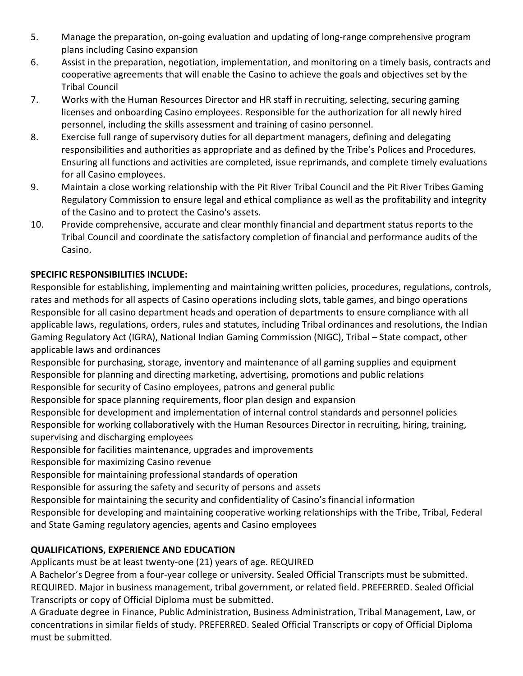- 5. Manage the preparation, on-going evaluation and updating of long-range comprehensive program plans including Casino expansion
- 6. Assist in the preparation, negotiation, implementation, and monitoring on a timely basis, contracts and cooperative agreements that will enable the Casino to achieve the goals and objectives set by the Tribal Council
- 7. Works with the Human Resources Director and HR staff in recruiting, selecting, securing gaming licenses and onboarding Casino employees. Responsible for the authorization for all newly hired personnel, including the skills assessment and training of casino personnel.
- 8. Exercise full range of supervisory duties for all department managers, defining and delegating responsibilities and authorities as appropriate and as defined by the Tribe's Polices and Procedures. Ensuring all functions and activities are completed, issue reprimands, and complete timely evaluations for all Casino employees.
- 9. Maintain a close working relationship with the Pit River Tribal Council and the Pit River Tribes Gaming Regulatory Commission to ensure legal and ethical compliance as well as the profitability and integrity of the Casino and to protect the Casino's assets.
- 10. Provide comprehensive, accurate and clear monthly financial and department status reports to the Tribal Council and coordinate the satisfactory completion of financial and performance audits of the Casino.

# **SPECIFIC RESPONSIBILITIES INCLUDE:**

Responsible for establishing, implementing and maintaining written policies, procedures, regulations, controls, rates and methods for all aspects of Casino operations including slots, table games, and bingo operations Responsible for all casino department heads and operation of departments to ensure compliance with all applicable laws, regulations, orders, rules and statutes, including Tribal ordinances and resolutions, the Indian Gaming Regulatory Act (IGRA), National Indian Gaming Commission (NIGC), Tribal – State compact, other applicable laws and ordinances

Responsible for purchasing, storage, inventory and maintenance of all gaming supplies and equipment Responsible for planning and directing marketing, advertising, promotions and public relations Responsible for security of Casino employees, patrons and general public

Responsible for space planning requirements, floor plan design and expansion

Responsible for development and implementation of internal control standards and personnel policies Responsible for working collaboratively with the Human Resources Director in recruiting, hiring, training, supervising and discharging employees

Responsible for facilities maintenance, upgrades and improvements

Responsible for maximizing Casino revenue

Responsible for maintaining professional standards of operation

Responsible for assuring the safety and security of persons and assets

Responsible for maintaining the security and confidentiality of Casino's financial information

Responsible for developing and maintaining cooperative working relationships with the Tribe, Tribal, Federal and State Gaming regulatory agencies, agents and Casino employees

## **QUALIFICATIONS, EXPERIENCE AND EDUCATION**

Applicants must be at least twenty-one (21) years of age. REQUIRED

A Bachelor's Degree from a four-year college or university. Sealed Official Transcripts must be submitted. REQUIRED. Major in business management, tribal government, or related field. PREFERRED. Sealed Official Transcripts or copy of Official Diploma must be submitted.

A Graduate degree in Finance, Public Administration, Business Administration, Tribal Management, Law, or concentrations in similar fields of study. PREFERRED. Sealed Official Transcripts or copy of Official Diploma must be submitted.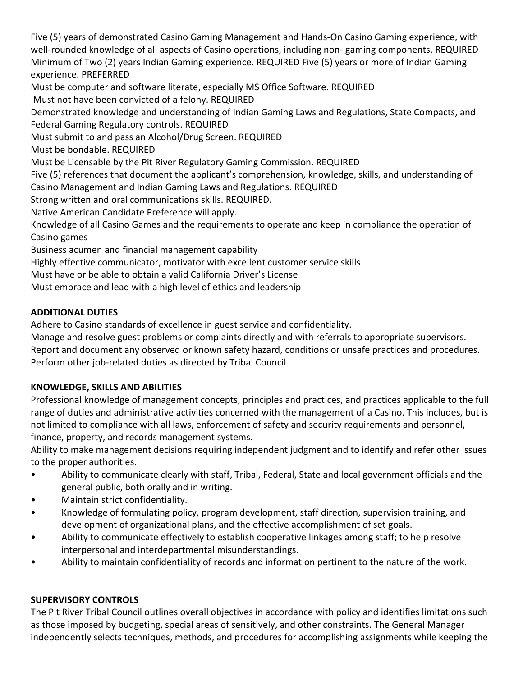Five (5) years of demonstrated Casino Gaming Management and Hands-On Casino Gaming experience, with well-rounded knowledge of all aspects of Casino operations, including non- gaming components. REQUIRED Minimum of Two (2) years Indian Gaming experience. REQUIRED Five (5) years or more of Indian Gaming experience. PREFERRED

Must be computer and software literate, especially MS Office Software. REQUIRED

Must not have been convicted of a felony. REQUIRED

Demonstrated knowledge and understanding of Indian Gaming Laws and Regulations, State Compacts, and Federal Gaming Regulatory controls. REQUIRED

Must submit to and pass an Alcohol/Drug Screen. REQUIRED

Must be bondable. REQUIRED

Must be Licensable by the Pit River Regulatory Gaming Commission. REQUIRED

Five (5) references that document the applicant's comprehension, knowledge, skills, and understanding of Casino Management and Indian Gaming Laws and Regulations. REQUIRED

Strong written and oral communications skills. REQUIRED.

Native American Candidate Preference will apply.

Knowledge of all Casino Games and the requirements to operate and keep in compliance the operation of Casino games

Business acumen and financial management capability

Highly effective communicator, motivator with excellent customer service skills

Must have or be able to obtain a valid California Driver's License

Must embrace and lead with a high level of ethics and leadership

### **ADDITIONAL DUTIES**

Adhere to Casino standards of excellence in guest service and confidentiality.

Manage and resolve guest problems or complaints directly and with referrals to appropriate supervisors. Report and document any observed or known safety hazard, conditions or unsafe practices and procedures. Perform other job-related duties as directed by Tribal Council

#### **KNOWLEDGE, SKILLS AND ABILITIES**

Professional knowledge of management concepts, principles and practices, and practices applicable to the full range of duties and administrative activities concerned with the management of a Casino. This includes, but is not limited to compliance with all laws, enforcement of safety and security requirements and personnel, finance, property, and records management systems.

Ability to make management decisions requiring independent judgment and to identify and refer other issues to the proper authorities.

- Ability to communicate clearly with staff, Tribal, Federal, State and local government officials and the general public, both orally and in writing.
- Maintain strict confidentiality.
- Knowledge of formulating policy, program development, staff direction, supervision training, and development of organizational plans, and the effective accomplishment of set goals.
- Ability to communicate effectively to establish cooperative linkages among staff; to help resolve interpersonal and interdepartmental misunderstandings.
- Ability to maintain confidentiality of records and information pertinent to the nature of the work.

#### **SUPERVISORY CONTROLS**

The Pit River Tribal Council outlines overall objectives in accordance with policy and identifies limitations such as those imposed by budgeting, special areas of sensitively, and other constraints. The General Manager independently selects techniques, methods, and procedures for accomplishing assignments while keeping the